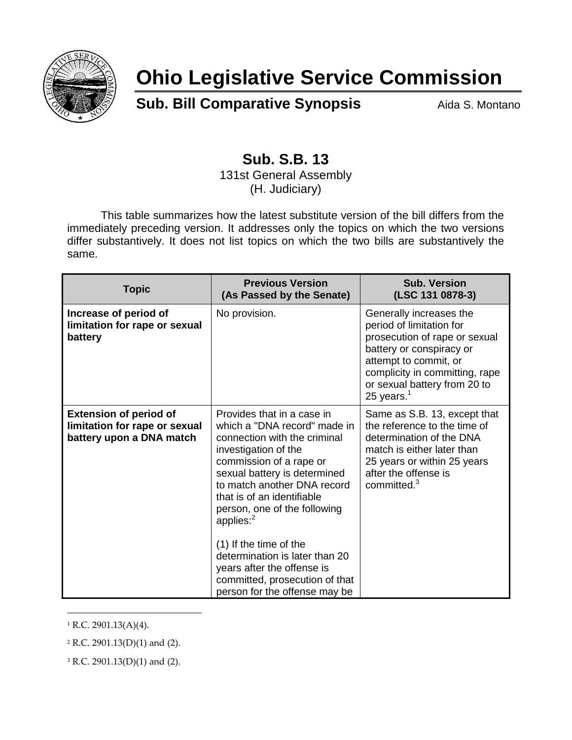

## **Ohio Legislative Service Commission**

**Sub. Bill Comparative Synopsis** Aida S. Montano

## **Sub. S.B. 13**

131st General Assembly (H. Judiciary)

This table summarizes how the latest substitute version of the bill differs from the immediately preceding version. It addresses only the topics on which the two versions differ substantively. It does not list topics on which the two bills are substantively the same.

| <b>Topic</b>                                                                               | <b>Previous Version</b><br>(As Passed by the Senate)                                                                                                                                                                                                                                                                                                                                                                                                    | <b>Sub. Version</b><br>(LSC 131 0878-3)                                                                                                                                                                                      |
|--------------------------------------------------------------------------------------------|---------------------------------------------------------------------------------------------------------------------------------------------------------------------------------------------------------------------------------------------------------------------------------------------------------------------------------------------------------------------------------------------------------------------------------------------------------|------------------------------------------------------------------------------------------------------------------------------------------------------------------------------------------------------------------------------|
| Increase of period of<br>limitation for rape or sexual<br>battery                          | No provision.                                                                                                                                                                                                                                                                                                                                                                                                                                           | Generally increases the<br>period of limitation for<br>prosecution of rape or sexual<br>battery or conspiracy or<br>attempt to commit, or<br>complicity in committing, rape<br>or sexual battery from 20 to<br>25 years. $1$ |
| <b>Extension of period of</b><br>limitation for rape or sexual<br>battery upon a DNA match | Provides that in a case in<br>which a "DNA record" made in<br>connection with the criminal<br>investigation of the<br>commission of a rape or<br>sexual battery is determined<br>to match another DNA record<br>that is of an identifiable<br>person, one of the following<br>applies: $2$<br>(1) If the time of the<br>determination is later than 20<br>years after the offense is<br>committed, prosecution of that<br>person for the offense may be | Same as S.B. 13, except that<br>the reference to the time of<br>determination of the DNA<br>match is either later than<br>25 years or within 25 years<br>after the offense is<br>committed. <sup>3</sup>                     |

 $1 R.C. 2901.13(A)(4)$ .

 $\overline{a}$ 

<sup>3</sup> R.C. 2901.13(D)(1) and (2).

<sup>2</sup> R.C. 2901.13(D)(1) and (2).